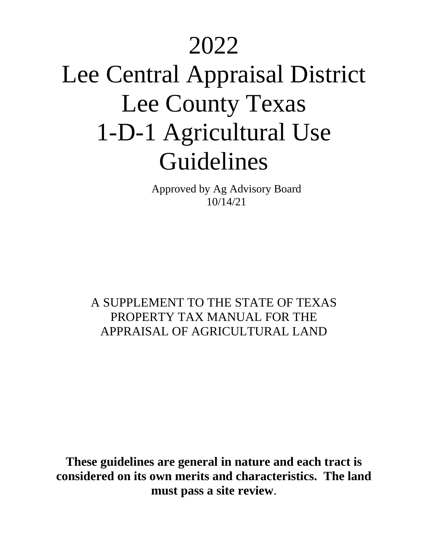## 2022

# Lee Central Appraisal District Lee County Texas 1-D-1 Agricultural Use Guidelines

Approved by Ag Advisory Board 10/14/21

A SUPPLEMENT TO THE STATE OF TEXAS PROPERTY TAX MANUAL FOR THE APPRAISAL OF AGRICULTURAL LAND

**These guidelines are general in nature and each tract is considered on its own merits and characteristics. The land must pass a site review**.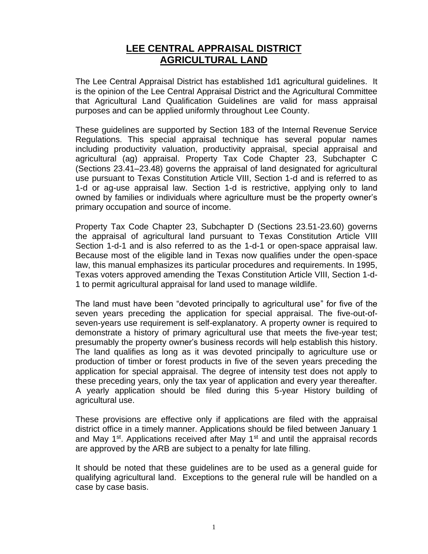#### **LEE CENTRAL APPRAISAL DISTRICT AGRICULTURAL LAND**

The Lee Central Appraisal District has established 1d1 agricultural guidelines. It is the opinion of the Lee Central Appraisal District and the Agricultural Committee that Agricultural Land Qualification Guidelines are valid for mass appraisal purposes and can be applied uniformly throughout Lee County.

These guidelines are supported by Section 183 of the Internal Revenue Service Regulations. This special appraisal technique has several popular names including productivity valuation, productivity appraisal, special appraisal and agricultural (ag) appraisal. Property Tax Code Chapter 23, Subchapter C (Sections 23.41–23.48) governs the appraisal of land designated for agricultural use pursuant to Texas Constitution Article VIII, Section 1-d and is referred to as 1-d or ag-use appraisal law. Section 1-d is restrictive, applying only to land owned by families or individuals where agriculture must be the property owner's primary occupation and source of income.

Property Tax Code Chapter 23, Subchapter D (Sections 23.51-23.60) governs the appraisal of agricultural land pursuant to Texas Constitution Article VIII Section 1-d-1 and is also referred to as the 1-d-1 or open-space appraisal law. Because most of the eligible land in Texas now qualifies under the open-space law, this manual emphasizes its particular procedures and requirements. In 1995, Texas voters approved amending the Texas Constitution Article VIII, Section 1-d-1 to permit agricultural appraisal for land used to manage wildlife.

The land must have been "devoted principally to agricultural use" for five of the seven years preceding the application for special appraisal. The five-out-ofseven-years use requirement is self-explanatory. A property owner is required to demonstrate a history of primary agricultural use that meets the five-year test; presumably the property owner's business records will help establish this history. The land qualifies as long as it was devoted principally to agriculture use or production of timber or forest products in five of the seven years preceding the application for special appraisal. The degree of intensity test does not apply to these preceding years, only the tax year of application and every year thereafter. A yearly application should be filed during this 5-year History building of agricultural use.

These provisions are effective only if applications are filed with the appraisal district office in a timely manner. Applications should be filed between January 1 and May  $1<sup>st</sup>$ . Applications received after May  $1<sup>st</sup>$  and until the appraisal records are approved by the ARB are subject to a penalty for late filling.

It should be noted that these guidelines are to be used as a general guide for qualifying agricultural land. Exceptions to the general rule will be handled on a case by case basis.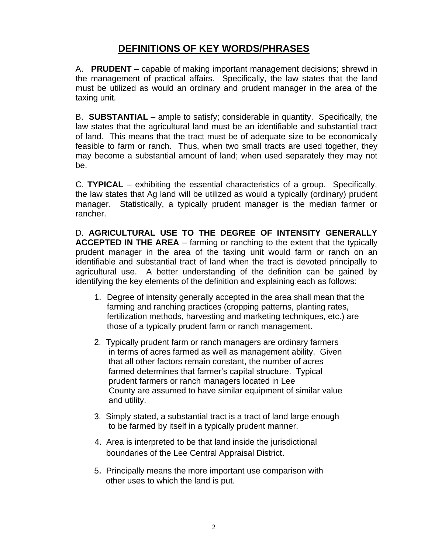#### **DEFINITIONS OF KEY WORDS/PHRASES**

A. **PRUDENT –** capable of making important management decisions; shrewd in the management of practical affairs. Specifically, the law states that the land must be utilized as would an ordinary and prudent manager in the area of the taxing unit.

B. **SUBSTANTIAL** – ample to satisfy; considerable in quantity. Specifically, the law states that the agricultural land must be an identifiable and substantial tract of land. This means that the tract must be of adequate size to be economically feasible to farm or ranch. Thus, when two small tracts are used together, they may become a substantial amount of land; when used separately they may not be.

C. **TYPICAL** – exhibiting the essential characteristics of a group. Specifically, the law states that Ag land will be utilized as would a typically (ordinary) prudent manager. Statistically, a typically prudent manager is the median farmer or rancher.

D. **AGRICULTURAL USE TO THE DEGREE OF INTENSITY GENERALLY ACCEPTED IN THE AREA** – farming or ranching to the extent that the typically prudent manager in the area of the taxing unit would farm or ranch on an identifiable and substantial tract of land when the tract is devoted principally to agricultural use. A better understanding of the definition can be gained by identifying the key elements of the definition and explaining each as follows:

- 1. Degree of intensity generally accepted in the area shall mean that the farming and ranching practices (cropping patterns, planting rates, fertilization methods, harvesting and marketing techniques, etc.) are those of a typically prudent farm or ranch management.
- 2. Typically prudent farm or ranch managers are ordinary farmers in terms of acres farmed as well as management ability. Given that all other factors remain constant, the number of acres farmed determines that farmer's capital structure. Typical prudent farmers or ranch managers located in Lee County are assumed to have similar equipment of similar value and utility.
- 3. Simply stated, a substantial tract is a tract of land large enough to be farmed by itself in a typically prudent manner.
- 4. Area is interpreted to be that land inside the jurisdictional boundaries of the Lee Central Appraisal District.
- 5. Principally means the more important use comparison with other uses to which the land is put.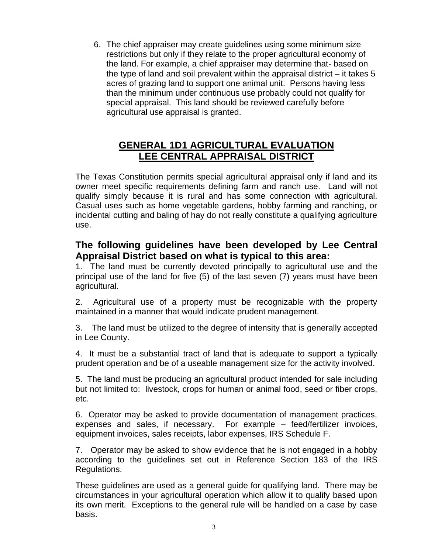6. The chief appraiser may create guidelines using some minimum size restrictions but only if they relate to the proper agricultural economy of the land. For example, a chief appraiser may determine that- based on the type of land and soil prevalent within the appraisal district – it takes 5 acres of grazing land to support one animal unit. Persons having less than the minimum under continuous use probably could not qualify for special appraisal. This land should be reviewed carefully before agricultural use appraisal is granted.

#### **GENERAL 1D1 AGRICULTURAL EVALUATION LEE CENTRAL APPRAISAL DISTRICT**

The Texas Constitution permits special agricultural appraisal only if land and its owner meet specific requirements defining farm and ranch use. Land will not qualify simply because it is rural and has some connection with agricultural. Casual uses such as home vegetable gardens, hobby farming and ranching, or incidental cutting and baling of hay do not really constitute a qualifying agriculture use.

#### **The following guidelines have been developed by Lee Central Appraisal District based on what is typical to this area:**

1. The land must be currently devoted principally to agricultural use and the principal use of the land for five (5) of the last seven (7) years must have been agricultural.

2. Agricultural use of a property must be recognizable with the property maintained in a manner that would indicate prudent management.

3. The land must be utilized to the degree of intensity that is generally accepted in Lee County.

4. It must be a substantial tract of land that is adequate to support a typically prudent operation and be of a useable management size for the activity involved.

5. The land must be producing an agricultural product intended for sale including but not limited to: livestock, crops for human or animal food, seed or fiber crops, etc.

6. Operator may be asked to provide documentation of management practices, expenses and sales, if necessary. For example – feed/fertilizer invoices, equipment invoices, sales receipts, labor expenses, IRS Schedule F.

7. Operator may be asked to show evidence that he is not engaged in a hobby according to the guidelines set out in Reference Section 183 of the IRS Regulations.

These guidelines are used as a general guide for qualifying land. There may be circumstances in your agricultural operation which allow it to qualify based upon its own merit. Exceptions to the general rule will be handled on a case by case basis.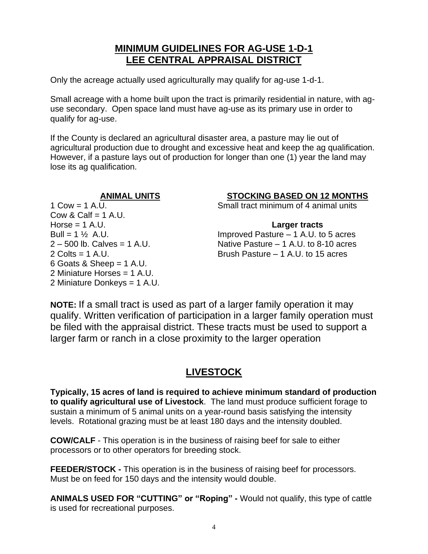#### **MINIMUM GUIDELINES FOR AG-USE 1-D-1 LEE CENTRAL APPRAISAL DISTRICT**

Only the acreage actually used agriculturally may qualify for ag-use 1-d-1.

Small acreage with a home built upon the tract is primarily residential in nature, with aguse secondary. Open space land must have ag-use as its primary use in order to qualify for ag-use.

If the County is declared an agricultural disaster area, a pasture may lie out of agricultural production due to drought and excessive heat and keep the ag qualification. However, if a pasture lays out of production for longer than one (1) year the land may lose its ag qualification.

**ANIMAL UNITS STOCKING BASED ON 12 MONTHS**

1 Cow = 1 A.U. Small tract minimum of 4 animal units

Cow & Calf  $= 1$  A.U. Horse = 1 A.U. **Larger tracts** 6 Goats & Sheep  $= 1$  A.U. 2 Miniature Horses = 1 A.U. 2 Miniature Donkeys = 1 A.U.

Bull =  $1\frac{1}{2}$  A.U. Improved Pasture – 1 A.U. to 5 acres  $2 - 500$  Ib. Calves = 1 A.U. Native Pasture  $- 1$  A.U. to 8-10 acres 2 Colts = 1 A.U. Brush Pasture – 1 A.U. to 15 acres

**NOTE:** If a small tract is used as part of a larger family operation it may qualify. Written verification of participation in a larger family operation must be filed with the appraisal district. These tracts must be used to support a larger farm or ranch in a close proximity to the larger operation

#### **LIVESTOCK**

**Typically, 15 acres of land is required to achieve minimum standard of production to qualify agricultural use of Livestock**. The land must produce sufficient forage to sustain a minimum of 5 animal units on a year-round basis satisfying the intensity levels. Rotational grazing must be at least 180 days and the intensity doubled.

**COW/CALF** - This operation is in the business of raising beef for sale to either processors or to other operators for breeding stock.

**FEEDER/STOCK -** This operation is in the business of raising beef for processors. Must be on feed for 150 days and the intensity would double.

**ANIMALS USED FOR "CUTTING" or "Roping" -** Would not qualify, this type of cattle is used for recreational purposes.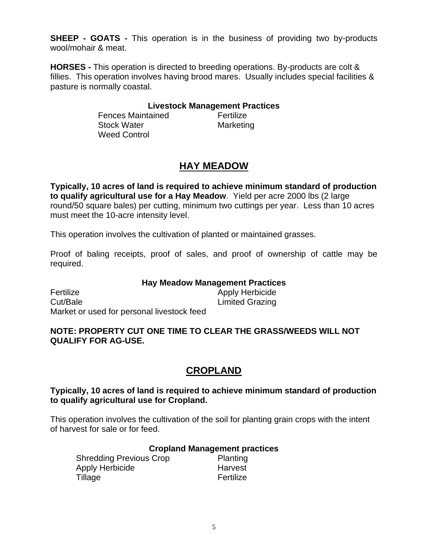**SHEEP - GOATS -** This operation is in the business of providing two by-products wool/mohair & meat.

**HORSES -** This operation is directed to breeding operations. By-products are colt & fillies. This operation involves having brood mares. Usually includes special facilities & pasture is normally coastal.

#### **Livestock Management Practices**

**Fences Maintained Fertilize** Stock Water **Marketing** Weed Control

#### **HAY MEADOW**

**Typically, 10 acres of land is required to achieve minimum standard of production to qualify agricultural use for a Hay Meadow**. Yield per acre 2000 lbs (2 large round/50 square bales) per cutting, minimum two cuttings per year. Less than 10 acres must meet the 10-acre intensity level.

This operation involves the cultivation of planted or maintained grasses.

Proof of baling receipts, proof of sales, and proof of ownership of cattle may be required.

#### **Hay Meadow Management Practices**

Fertilize Apply Herbicide Cut/Bale Limited Grazing Market or used for personal livestock feed

#### **NOTE: PROPERTY CUT ONE TIME TO CLEAR THE GRASS/WEEDS WILL NOT QUALIFY FOR AG-USE.**

#### **CROPLAND**

**Typically, 10 acres of land is required to achieve minimum standard of production to qualify agricultural use for Cropland.**

This operation involves the cultivation of the soil for planting grain crops with the intent of harvest for sale or for feed.

#### **Cropland Management practices**

| <b>Shredding Previous Crop</b> | Planting  |
|--------------------------------|-----------|
| Apply Herbicide                | Harvest   |
| Tillage                        | Fertilize |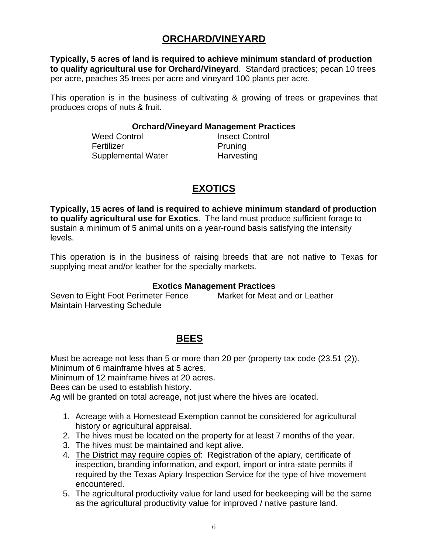#### **ORCHARD/VINEYARD**

**Typically, 5 acres of land is required to achieve minimum standard of production to qualify agricultural use for Orchard/Vineyard**. Standard practices; pecan 10 trees per acre, peaches 35 trees per acre and vineyard 100 plants per acre.

This operation is in the business of cultivating & growing of trees or grapevines that produces crops of nuts & fruit.

#### **Orchard/Vineyard Management Practices**

Weed Control **Insect Control** Fertilizer **Pruning** Supplemental Water **Harvesting** 

#### **EXOTICS**

**Typically, 15 acres of land is required to achieve minimum standard of production to qualify agricultural use for Exotics**. The land must produce sufficient forage to sustain a minimum of 5 animal units on a year-round basis satisfying the intensity levels.

This operation is in the business of raising breeds that are not native to Texas for supplying meat and/or leather for the specialty markets.

#### **Exotics Management Practices**

Seven to Eight Foot Perimeter Fence Market for Meat and or Leather Maintain Harvesting Schedule

#### **BEES**

Must be acreage not less than 5 or more than 20 per (property tax code (23.51 (2)). Minimum of 6 mainframe hives at 5 acres.

Minimum of 12 mainframe hives at 20 acres.

Bees can be used to establish history.

Ag will be granted on total acreage, not just where the hives are located.

- 1. Acreage with a Homestead Exemption cannot be considered for agricultural history or agricultural appraisal.
- 2. The hives must be located on the property for at least 7 months of the year.
- 3. The hives must be maintained and kept alive.
- 4. The District may require copies of: Registration of the apiary, certificate of inspection, branding information, and export, import or intra-state permits if required by the Texas Apiary Inspection Service for the type of hive movement encountered.
- 5. The agricultural productivity value for land used for beekeeping will be the same as the agricultural productivity value for improved / native pasture land.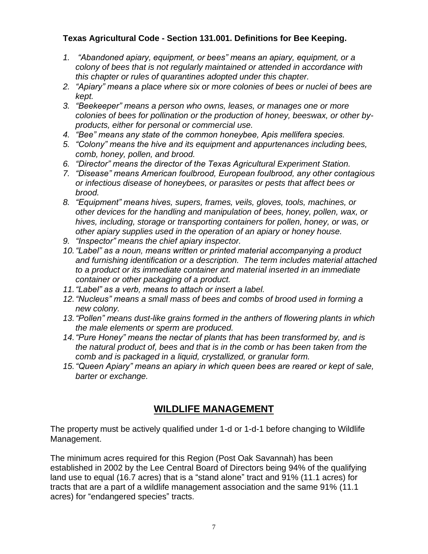#### **Texas Agricultural Code - Section 131.001. Definitions for Bee Keeping.**

- *1. "Abandoned apiary, equipment, or bees" means an apiary, equipment, or a colony of bees that is not regularly maintained or attended in accordance with this chapter or rules of quarantines adopted under this chapter.*
- *2. "Apiary" means a place where six or more colonies of bees or nuclei of bees are kept.*
- *3. "Beekeeper" means a person who owns, leases, or manages one or more colonies of bees for pollination or the production of honey, beeswax, or other byproducts, either for personal or commercial use.*
- *4. "Bee" means any state of the common honeybee, Apis mellifera species.*
- *5. "Colony" means the hive and its equipment and appurtenances including bees, comb, honey, pollen, and brood.*
- *6. "Director" means the director of the Texas Agricultural Experiment Station.*
- *7. "Disease" means American foulbrood, European foulbrood, any other contagious or infectious disease of honeybees, or parasites or pests that affect bees or brood.*
- *8. "Equipment" means hives, supers, frames, veils, gloves, tools, machines, or other devices for the handling and manipulation of bees, honey, pollen, wax, or hives, including, storage or transporting containers for pollen, honey, or was, or other apiary supplies used in the operation of an apiary or honey house.*
- *9. "Inspector" means the chief apiary inspector.*
- *10."Label" as a noun, means written or printed material accompanying a product and furnishing identification or a description. The term includes material attached to a product or its immediate container and material inserted in an immediate container or other packaging of a product.*
- *11."Label" as a verb, means to attach or insert a label.*
- *12."Nucleus" means a small mass of bees and combs of brood used in forming a new colony.*
- *13."Pollen" means dust-like grains formed in the anthers of flowering plants in which the male elements or sperm are produced.*
- *14."Pure Honey" means the nectar of plants that has been transformed by, and is the natural product of, bees and that is in the comb or has been taken from the comb and is packaged in a liquid, crystallized, or granular form.*
- *15."Queen Apiary" means an apiary in which queen bees are reared or kept of sale, barter or exchange.*

#### **WILDLIFE MANAGEMENT**

The property must be actively qualified under 1-d or 1-d-1 before changing to Wildlife Management.

The minimum acres required for this Region (Post Oak Savannah) has been established in 2002 by the Lee Central Board of Directors being 94% of the qualifying land use to equal (16.7 acres) that is a "stand alone" tract and 91% (11.1 acres) for tracts that are a part of a wildlife management association and the same 91% (11.1 acres) for "endangered species" tracts.